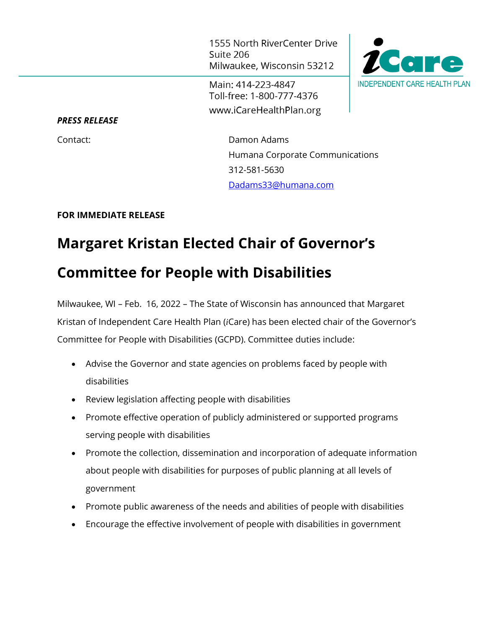1555 North RiverCenter Drive Suite 206 Milwaukee, Wisconsin 53212

Main: 414-223-4847 Toll-free: 1-800-777-4376 www.iCareHealthPlan.org



*PRESS RELEASE*

Contact: Damon Adams Humana Corporate Communications 312-581-5630 [Dadams33@humana.com](mailto:Dadams33@humana.com)

## **FOR IMMEDIATE RELEASE**

## **Margaret Kristan Elected Chair of Governor's Committee for People with Disabilities**

Milwaukee, WI – Feb. 16, 2022 – The State of Wisconsin has announced that Margaret Kristan of Independent Care Health Plan (*i*Care) has been elected chair of the Governor's Committee for People with Disabilities (GCPD). Committee duties include:

- Advise the Governor and state agencies on problems faced by people with disabilities
- Review legislation affecting people with disabilities
- Promote effective operation of publicly administered or supported programs serving people with disabilities
- Promote the collection, dissemination and incorporation of adequate information about people with disabilities for purposes of public planning at all levels of government
- Promote public awareness of the needs and abilities of people with disabilities
- Encourage the effective involvement of people with disabilities in government